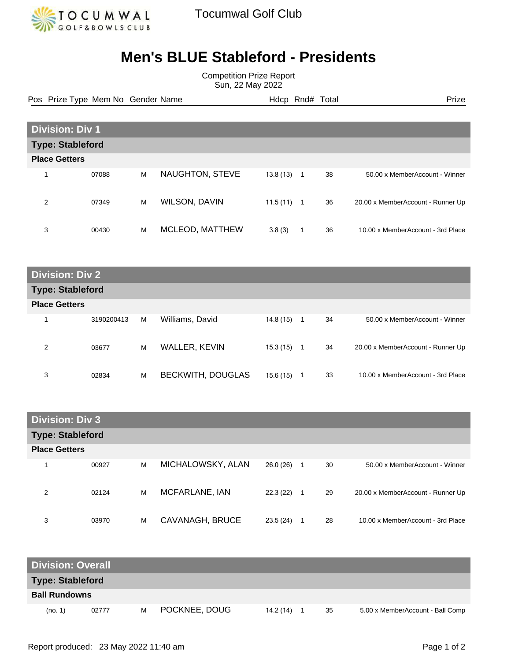

## **Men's BLUE Stableford - Presidents**

Competition Prize Report Sun, 22 May 2022

Pos Prize Type Mem No Gender Name **Hdcp Rnd# Total** Prize Prize

| <b>Division: Div 1</b>  |       |   |                        |          |  |    |                                   |
|-------------------------|-------|---|------------------------|----------|--|----|-----------------------------------|
| <b>Type: Stableford</b> |       |   |                        |          |  |    |                                   |
| <b>Place Getters</b>    |       |   |                        |          |  |    |                                   |
| $\overline{\mathbf{A}}$ | 07088 | M | <b>NAUGHTON, STEVE</b> | 13.8(13) |  | 38 | 50.00 x MemberAccount - Winner    |
| 2                       | 07349 | M | WILSON, DAVIN          | 11.5(11) |  | 36 | 20.00 x MemberAccount - Runner Up |
| 3                       | 00430 | M | MCLEOD, MATTHEW        | 3.8(3)   |  | 36 | 10.00 x MemberAccount - 3rd Place |

| <b>Division: Div 2.</b> |
|-------------------------|
| <b>Type: Stableford</b> |
|                         |

| .                    |            |   |                          |          |    |                                   |
|----------------------|------------|---|--------------------------|----------|----|-----------------------------------|
| <b>Place Getters</b> |            |   |                          |          |    |                                   |
|                      | 3190200413 | M | Williams, David          | 14.8(15) | 34 | 50.00 x MemberAccount - Winner    |
| 2                    | 03677      | M | WALLER, KEVIN            | 15.3(15) | 34 | 20.00 x MemberAccount - Runner Up |
| 3                    | 02834      | M | <b>BECKWITH, DOUGLAS</b> | 15.6(15) | 33 | 10.00 x MemberAccount - 3rd Place |

| <b>Division: Div 3</b>  |       |   |                   |          |   |    |                                   |
|-------------------------|-------|---|-------------------|----------|---|----|-----------------------------------|
| <b>Type: Stableford</b> |       |   |                   |          |   |    |                                   |
| <b>Place Getters</b>    |       |   |                   |          |   |    |                                   |
|                         | 00927 | M | MICHALOWSKY, ALAN | 26.0(26) | 1 | 30 | 50.00 x MemberAccount - Winner    |
| 2                       | 02124 | M | MCFARLANE, IAN    | 22.3(22) | 1 | 29 | 20.00 x MemberAccount - Runner Up |
| 3                       | 03970 | M | CAVANAGH, BRUCE   | 23.5(24) | 1 | 28 | 10.00 x MemberAccount - 3rd Place |

| <b>Division: Overall</b> |       |   |               |           |  |    |                                  |
|--------------------------|-------|---|---------------|-----------|--|----|----------------------------------|
| <b>Type: Stableford</b>  |       |   |               |           |  |    |                                  |
| <b>Ball Rundowns</b>     |       |   |               |           |  |    |                                  |
| (no. 1)                  | 02777 | м | POCKNEE, DOUG | 14.2 (14) |  | 35 | 5.00 x MemberAccount - Ball Comp |